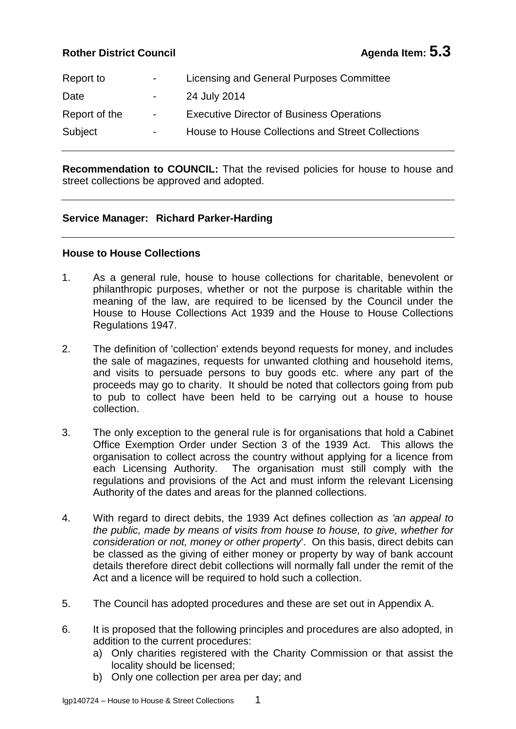# **Rother District Council Agenda Item: 5.3**

| Report to     | $\sim 100$               | Licensing and General Purposes Committee          |
|---------------|--------------------------|---------------------------------------------------|
| Date          | <b>Contract Contract</b> | 24 July 2014                                      |
| Report of the | $\sim 100$               | <b>Executive Director of Business Operations</b>  |
| Subject       | $\sim 100$               | House to House Collections and Street Collections |
|               |                          |                                                   |

**Recommendation to COUNCIL:** That the revised policies for house to house and street collections be approved and adopted.

## **Service Manager: Richard Parker-Harding**

### **House to House Collections**

- 1. As a general rule, house to house collections for charitable, benevolent or philanthropic purposes, whether or not the purpose is charitable within the meaning of the law, are required to be licensed by the Council under the House to House Collections Act 1939 and the House to House Collections Regulations 1947.
- 2. The definition of 'collection' extends beyond requests for money, and includes the sale of magazines, requests for unwanted clothing and household items, and visits to persuade persons to buy goods etc. where any part of the proceeds may go to charity. It should be noted that collectors going from pub to pub to collect have been held to be carrying out a house to house collection.
- 3. The only exception to the general rule is for organisations that hold a Cabinet Office Exemption Order under Section 3 of the 1939 Act. This allows the organisation to collect across the country without applying for a licence from each Licensing Authority. The organisation must still comply with the regulations and provisions of the Act and must inform the relevant Licensing Authority of the dates and areas for the planned collections.
- 4. With regard to direct debits, the 1939 Act defines collection *as 'an appeal to the public, made by means of visits from house to house, to give, whether for consideration or not, money or other property*'. On this basis, direct debits can be classed as the giving of either money or property by way of bank account details therefore direct debit collections will normally fall under the remit of the Act and a licence will be required to hold such a collection.
- 5. The Council has adopted procedures and these are set out in Appendix A.
- 6. It is proposed that the following principles and procedures are also adopted, in addition to the current procedures:
	- a) Only charities registered with the Charity Commission or that assist the locality should be licensed;
	- b) Only one collection per area per day; and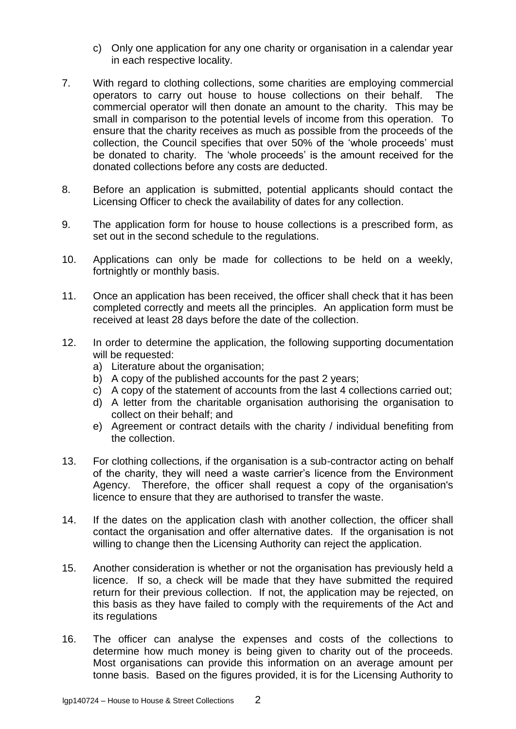- c) Only one application for any one charity or organisation in a calendar year in each respective locality.
- 7. With regard to clothing collections, some charities are employing commercial operators to carry out house to house collections on their behalf. The commercial operator will then donate an amount to the charity. This may be small in comparison to the potential levels of income from this operation. To ensure that the charity receives as much as possible from the proceeds of the collection, the Council specifies that over 50% of the 'whole proceeds' must be donated to charity. The 'whole proceeds' is the amount received for the donated collections before any costs are deducted.
- 8. Before an application is submitted, potential applicants should contact the Licensing Officer to check the availability of dates for any collection.
- 9. The application form for house to house collections is a prescribed form, as set out in the second schedule to the regulations.
- 10. Applications can only be made for collections to be held on a weekly, fortnightly or monthly basis.
- 11. Once an application has been received, the officer shall check that it has been completed correctly and meets all the principles. An application form must be received at least 28 days before the date of the collection.
- 12. In order to determine the application, the following supporting documentation will be requested:
	- a) Literature about the organisation;
	- b) A copy of the published accounts for the past 2 years;
	- c) A copy of the statement of accounts from the last 4 collections carried out;
	- d) A letter from the charitable organisation authorising the organisation to collect on their behalf; and
	- e) Agreement or contract details with the charity / individual benefiting from the collection.
- 13. For clothing collections, if the organisation is a sub-contractor acting on behalf of the charity, they will need a waste carrier's licence from the Environment Agency. Therefore, the officer shall request a copy of the organisation's licence to ensure that they are authorised to transfer the waste.
- 14. If the dates on the application clash with another collection, the officer shall contact the organisation and offer alternative dates. If the organisation is not willing to change then the Licensing Authority can reject the application.
- 15. Another consideration is whether or not the organisation has previously held a licence. If so, a check will be made that they have submitted the required return for their previous collection. If not, the application may be rejected, on this basis as they have failed to comply with the requirements of the Act and its regulations
- 16. The officer can analyse the expenses and costs of the collections to determine how much money is being given to charity out of the proceeds. Most organisations can provide this information on an average amount per tonne basis. Based on the figures provided, it is for the Licensing Authority to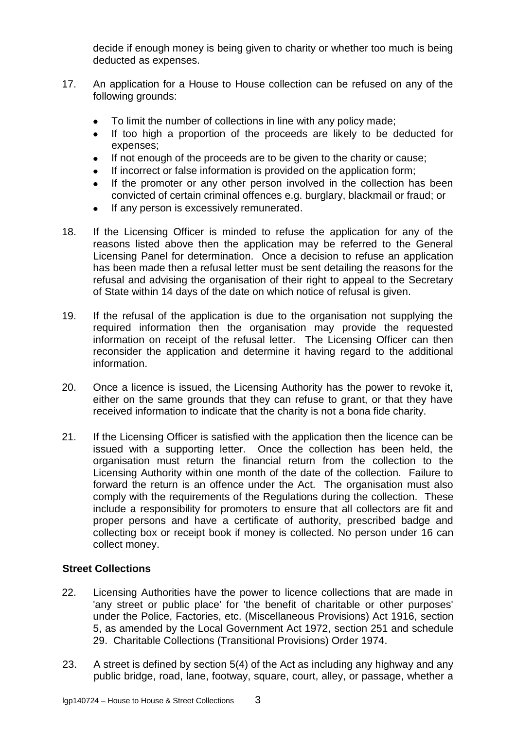decide if enough money is being given to charity or whether too much is being deducted as expenses.

- 17. An application for a House to House collection can be refused on any of the following grounds:
	- To limit the number of collections in line with any policy made;  $\bullet$
	- If too high a proportion of the proceeds are likely to be deducted for expenses;
	- If not enough of the proceeds are to be given to the charity or cause;
	- If incorrect or false information is provided on the application form;  $\bullet$
	- If the promoter or any other person involved in the collection has been convicted of certain criminal offences e.g. burglary, blackmail or fraud; or
	- If any person is excessively remunerated.
- 18. If the Licensing Officer is minded to refuse the application for any of the reasons listed above then the application may be referred to the General Licensing Panel for determination. Once a decision to refuse an application has been made then a refusal letter must be sent detailing the reasons for the refusal and advising the organisation of their right to appeal to the Secretary of State within 14 days of the date on which notice of refusal is given.
- 19. If the refusal of the application is due to the organisation not supplying the required information then the organisation may provide the requested information on receipt of the refusal letter. The Licensing Officer can then reconsider the application and determine it having regard to the additional information.
- 20. Once a licence is issued, the Licensing Authority has the power to revoke it, either on the same grounds that they can refuse to grant, or that they have received information to indicate that the charity is not a bona fide charity.
- 21. If the Licensing Officer is satisfied with the application then the licence can be issued with a supporting letter. Once the collection has been held, the organisation must return the financial return from the collection to the Licensing Authority within one month of the date of the collection. Failure to forward the return is an offence under the Act. The organisation must also comply with the requirements of the Regulations during the collection. These include a responsibility for promoters to ensure that all collectors are fit and proper persons and have a certificate of authority, prescribed badge and collecting box or receipt book if money is collected. No person under 16 can collect money.

## **Street Collections**

- 22. Licensing Authorities have the power to licence collections that are made in 'any street or public place' for 'the benefit of charitable or other purposes' under the Police, Factories, etc. (Miscellaneous Provisions) Act 1916, section 5, as amended by the Local Government Act 1972, section 251 and schedule 29. Charitable Collections (Transitional Provisions) Order 1974.
- 23. A street is defined by section 5(4) of the Act as including any highway and any public bridge, road, lane, footway, square, court, alley, or passage, whether a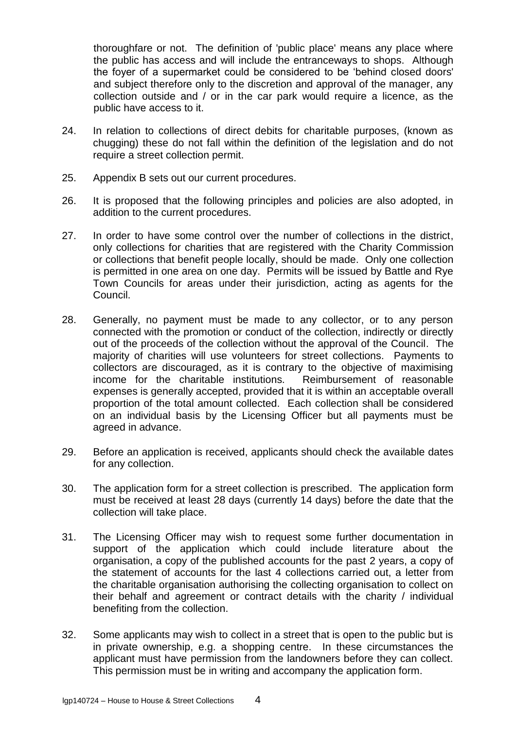thoroughfare or not. The definition of 'public place' means any place where the public has access and will include the entranceways to shops. Although the foyer of a supermarket could be considered to be 'behind closed doors' and subject therefore only to the discretion and approval of the manager, any collection outside and / or in the car park would require a licence, as the public have access to it.

- 24. In relation to collections of direct debits for charitable purposes, (known as chugging) these do not fall within the definition of the legislation and do not require a street collection permit.
- 25. Appendix B sets out our current procedures.
- 26. It is proposed that the following principles and policies are also adopted, in addition to the current procedures.
- 27. In order to have some control over the number of collections in the district, only collections for charities that are registered with the Charity Commission or collections that benefit people locally, should be made. Only one collection is permitted in one area on one day. Permits will be issued by Battle and Rye Town Councils for areas under their jurisdiction, acting as agents for the Council.
- 28. Generally, no payment must be made to any collector, or to any person connected with the promotion or conduct of the collection, indirectly or directly out of the proceeds of the collection without the approval of the Council. The majority of charities will use volunteers for street collections. Payments to collectors are discouraged, as it is contrary to the objective of maximising income for the charitable institutions. Reimbursement of reasonable expenses is generally accepted, provided that it is within an acceptable overall proportion of the total amount collected. Each collection shall be considered on an individual basis by the Licensing Officer but all payments must be agreed in advance.
- 29. Before an application is received, applicants should check the available dates for any collection.
- 30. The application form for a street collection is prescribed. The application form must be received at least 28 days (currently 14 days) before the date that the collection will take place.
- 31. The Licensing Officer may wish to request some further documentation in support of the application which could include literature about the organisation, a copy of the published accounts for the past 2 years, a copy of the statement of accounts for the last 4 collections carried out, a letter from the charitable organisation authorising the collecting organisation to collect on their behalf and agreement or contract details with the charity / individual benefiting from the collection.
- 32. Some applicants may wish to collect in a street that is open to the public but is in private ownership, e.g. a shopping centre. In these circumstances the applicant must have permission from the landowners before they can collect. This permission must be in writing and accompany the application form.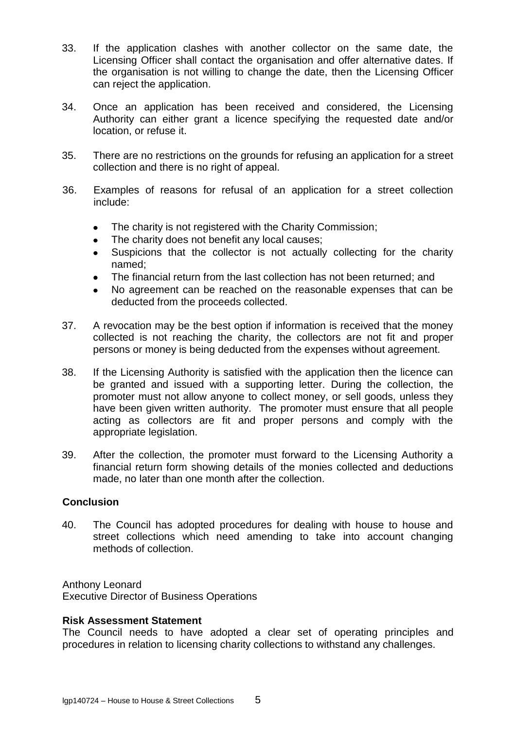- 33. If the application clashes with another collector on the same date, the Licensing Officer shall contact the organisation and offer alternative dates. If the organisation is not willing to change the date, then the Licensing Officer can reject the application.
- 34. Once an application has been received and considered, the Licensing Authority can either grant a licence specifying the requested date and/or location, or refuse it.
- 35. There are no restrictions on the grounds for refusing an application for a street collection and there is no right of appeal.
- 36. Examples of reasons for refusal of an application for a street collection include:
	- The charity is not registered with the Charity Commission;  $\bullet$
	- The charity does not benefit any local causes;  $\bullet$
	- Suspicions that the collector is not actually collecting for the charity named;
	- The financial return from the last collection has not been returned; and
	- No agreement can be reached on the reasonable expenses that can be deducted from the proceeds collected.
- 37. A revocation may be the best option if information is received that the money collected is not reaching the charity, the collectors are not fit and proper persons or money is being deducted from the expenses without agreement.
- 38. If the Licensing Authority is satisfied with the application then the licence can be granted and issued with a supporting letter. During the collection, the promoter must not allow anyone to collect money, or sell goods, unless they have been given written authority. The promoter must ensure that all people acting as collectors are fit and proper persons and comply with the appropriate legislation.
- 39. After the collection, the promoter must forward to the Licensing Authority a financial return form showing details of the monies collected and deductions made, no later than one month after the collection.

### **Conclusion**

40. The Council has adopted procedures for dealing with house to house and street collections which need amending to take into account changing methods of collection.

Anthony Leonard Executive Director of Business Operations

### **Risk Assessment Statement**

The Council needs to have adopted a clear set of operating principles and procedures in relation to licensing charity collections to withstand any challenges.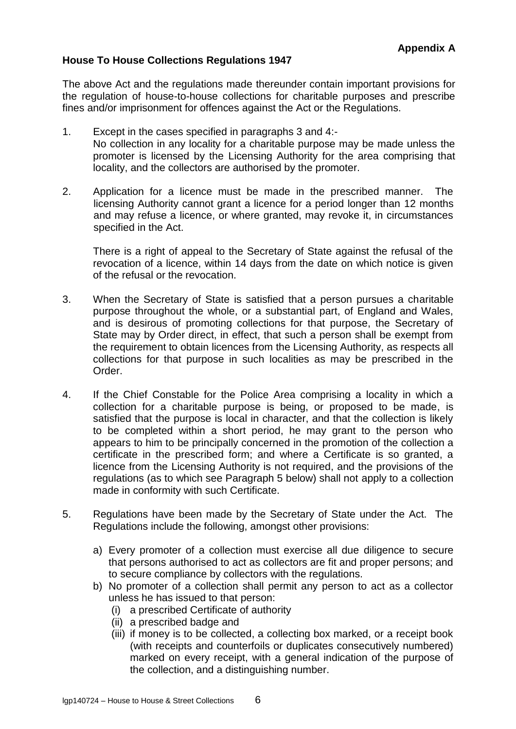# **House To House Collections Regulations 1947**

The above Act and the regulations made thereunder contain important provisions for the regulation of house-to-house collections for charitable purposes and prescribe fines and/or imprisonment for offences against the Act or the Regulations.

- 1. Except in the cases specified in paragraphs 3 and 4:- No collection in any locality for a charitable purpose may be made unless the promoter is licensed by the Licensing Authority for the area comprising that locality, and the collectors are authorised by the promoter.
- 2. Application for a licence must be made in the prescribed manner. The licensing Authority cannot grant a licence for a period longer than 12 months and may refuse a licence, or where granted, may revoke it, in circumstances specified in the Act.

There is a right of appeal to the Secretary of State against the refusal of the revocation of a licence, within 14 days from the date on which notice is given of the refusal or the revocation.

- 3. When the Secretary of State is satisfied that a person pursues a charitable purpose throughout the whole, or a substantial part, of England and Wales, and is desirous of promoting collections for that purpose, the Secretary of State may by Order direct, in effect, that such a person shall be exempt from the requirement to obtain licences from the Licensing Authority, as respects all collections for that purpose in such localities as may be prescribed in the Order.
- 4. If the Chief Constable for the Police Area comprising a locality in which a collection for a charitable purpose is being, or proposed to be made, is satisfied that the purpose is local in character, and that the collection is likely to be completed within a short period, he may grant to the person who appears to him to be principally concerned in the promotion of the collection a certificate in the prescribed form; and where a Certificate is so granted, a licence from the Licensing Authority is not required, and the provisions of the regulations (as to which see Paragraph 5 below) shall not apply to a collection made in conformity with such Certificate.
- 5. Regulations have been made by the Secretary of State under the Act. The Regulations include the following, amongst other provisions:
	- a) Every promoter of a collection must exercise all due diligence to secure that persons authorised to act as collectors are fit and proper persons; and to secure compliance by collectors with the regulations.
	- b) No promoter of a collection shall permit any person to act as a collector unless he has issued to that person:
		- (i) a prescribed Certificate of authority
		- (ii) a prescribed badge and
		- (iii) if money is to be collected, a collecting box marked, or a receipt book (with receipts and counterfoils or duplicates consecutively numbered) marked on every receipt, with a general indication of the purpose of the collection, and a distinguishing number.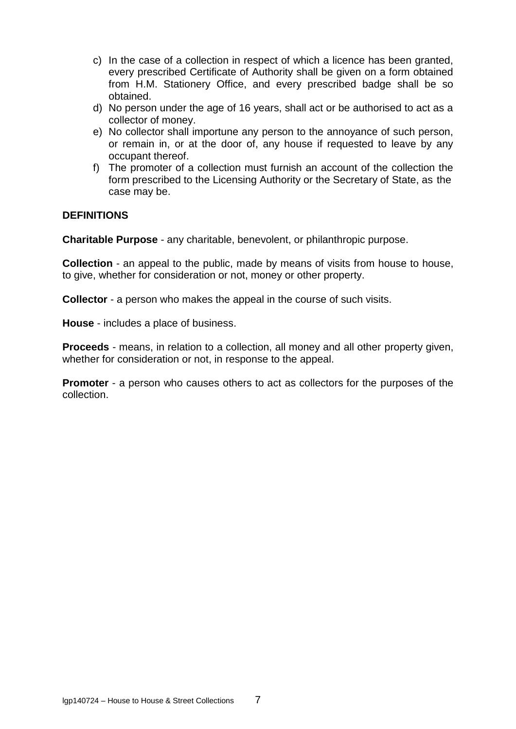- c) In the case of a collection in respect of which a licence has been granted, every prescribed Certificate of Authority shall be given on a form obtained from H.M. Stationery Office, and every prescribed badge shall be so obtained.
- d) No person under the age of 16 years, shall act or be authorised to act as a collector of money.
- e) No collector shall importune any person to the annoyance of such person, or remain in, or at the door of, any house if requested to leave by any occupant thereof.
- f) The promoter of a collection must furnish an account of the collection the form prescribed to the Licensing Authority or the Secretary of State, as the case may be.

## **DEFINITIONS**

**Charitable Purpose** - any charitable, benevolent, or philanthropic purpose.

**Collection** - an appeal to the public, made by means of visits from house to house. to give, whether for consideration or not, money or other property.

**Collector** - a person who makes the appeal in the course of such visits.

**House** - includes a place of business.

**Proceeds** - means, in relation to a collection, all money and all other property given, whether for consideration or not, in response to the appeal.

**Promoter** - a person who causes others to act as collectors for the purposes of the collection.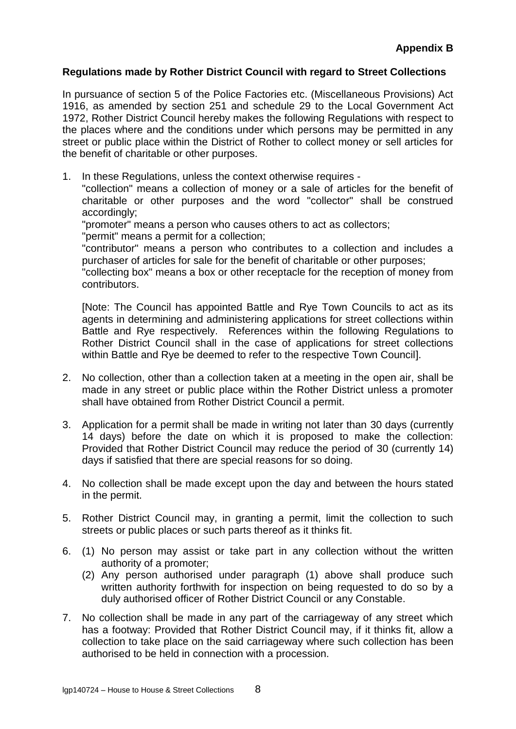### **Regulations made by Rother District Council with regard to Street Collections**

In pursuance of section 5 of the Police Factories etc. (Miscellaneous Provisions) Act 1916, as amended by section 251 and schedule 29 to the Local Government Act 1972, Rother District Council hereby makes the following Regulations with respect to the places where and the conditions under which persons may be permitted in any street or public place within the District of Rother to collect money or sell articles for the benefit of charitable or other purposes.

1. In these Regulations, unless the context otherwise requires -

"collection" means a collection of money or a sale of articles for the benefit of charitable or other purposes and the word "collector" shall be construed accordingly;

"promoter" means a person who causes others to act as collectors;

"permit" means a permit for a collection;

"contributor" means a person who contributes to a collection and includes a purchaser of articles for sale for the benefit of charitable or other purposes;

"collecting box" means a box or other receptacle for the reception of money from contributors.

[Note: The Council has appointed Battle and Rye Town Councils to act as its agents in determining and administering applications for street collections within Battle and Rye respectively. References within the following Regulations to Rother District Council shall in the case of applications for street collections within Battle and Rye be deemed to refer to the respective Town Council].

- 2. No collection, other than a collection taken at a meeting in the open air, shall be made in any street or public place within the Rother District unless a promoter shall have obtained from Rother District Council a permit.
- 3. Application for a permit shall be made in writing not later than 30 days (currently 14 days) before the date on which it is proposed to make the collection: Provided that Rother District Council may reduce the period of 30 (currently 14) days if satisfied that there are special reasons for so doing.
- 4. No collection shall be made except upon the day and between the hours stated in the permit.
- 5. Rother District Council may, in granting a permit, limit the collection to such streets or public places or such parts thereof as it thinks fit.
- 6. (1) No person may assist or take part in any collection without the written authority of a promoter;
	- (2) Any person authorised under paragraph (1) above shall produce such written authority forthwith for inspection on being requested to do so by a duly authorised officer of Rother District Council or any Constable.
- 7. No collection shall be made in any part of the carriageway of any street which has a footway: Provided that Rother District Council may, if it thinks fit, allow a collection to take place on the said carriageway where such collection has been authorised to be held in connection with a procession.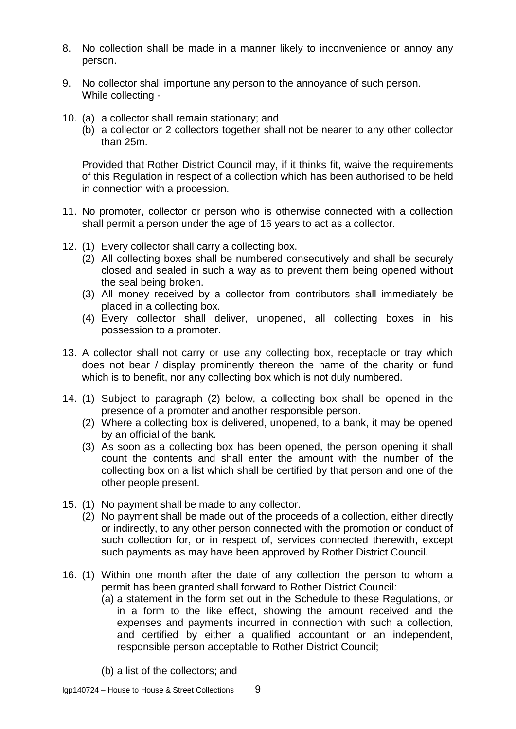- 8. No collection shall be made in a manner likely to inconvenience or annoy any person.
- 9. No collector shall importune any person to the annoyance of such person. While collecting -
- 10. (a) a collector shall remain stationary; and
	- (b) a collector or 2 collectors together shall not be nearer to any other collector than 25m.

Provided that Rother District Council may, if it thinks fit, waive the requirements of this Regulation in respect of a collection which has been authorised to be held in connection with a procession.

- 11. No promoter, collector or person who is otherwise connected with a collection shall permit a person under the age of 16 years to act as a collector.
- 12. (1) Every collector shall carry a collecting box.
	- (2) All collecting boxes shall be numbered consecutively and shall be securely closed and sealed in such a way as to prevent them being opened without the seal being broken.
	- (3) All money received by a collector from contributors shall immediately be placed in a collecting box.
	- (4) Every collector shall deliver, unopened, all collecting boxes in his possession to a promoter.
- 13. A collector shall not carry or use any collecting box, receptacle or tray which does not bear / display prominently thereon the name of the charity or fund which is to benefit, nor any collecting box which is not duly numbered.
- 14. (1) Subject to paragraph (2) below, a collecting box shall be opened in the presence of a promoter and another responsible person.
	- (2) Where a collecting box is delivered, unopened, to a bank, it may be opened by an official of the bank.
	- (3) As soon as a collecting box has been opened, the person opening it shall count the contents and shall enter the amount with the number of the collecting box on a list which shall be certified by that person and one of the other people present.
- 15. (1) No payment shall be made to any collector.
	- (2) No payment shall be made out of the proceeds of a collection, either directly or indirectly, to any other person connected with the promotion or conduct of such collection for, or in respect of, services connected therewith, except such payments as may have been approved by Rother District Council.
- 16. (1) Within one month after the date of any collection the person to whom a permit has been granted shall forward to Rother District Council:
	- (a) a statement in the form set out in the Schedule to these Regulations, or in a form to the like effect, showing the amount received and the expenses and payments incurred in connection with such a collection, and certified by either a qualified accountant or an independent, responsible person acceptable to Rother District Council;
	- (b) a list of the collectors; and